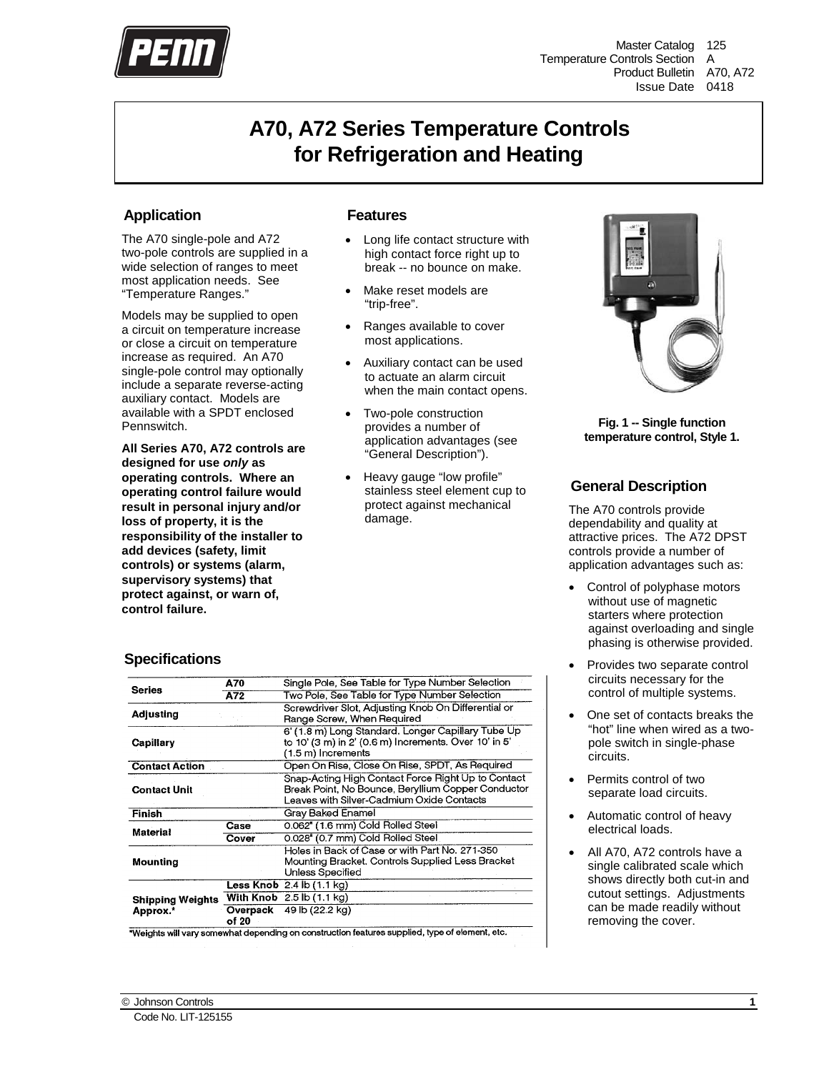

Master Catalog 125 Temperature Controls Section A Product Bulletin A70, A72 Issue Date 0418

## **A70, A72 Series Temperature Controls for Refrigeration and Heating**

## **Application**

The A70 single-pole and A72 two-pole controls are supplied in a wide selection of ranges to meet most application needs. See "Temperature Ranges."

Models may be supplied to open a circuit on temperature increase or close a circuit on temperature increase as required. An A70 single-pole control may optionally include a separate reverse-acting auxiliary contact. Models are available with a SPDT enclosed Pennswitch.

**All Series A70, A72 controls are designed for use** *only* **as operating controls. Where an operating control failure would result in personal injury and/or loss of property, it is the responsibility of the installer to add devices (safety, limit controls) or systems (alarm, supervisory systems) that protect against, or warn of, control failure.**

## **Features**

- Long life contact structure with high contact force right up to break -- no bounce on make.
- Make reset models are "trip-free".
- Ranges available to cover most applications.
- Auxiliary contact can be used to actuate an alarm circuit when the main contact opens.
- Two-pole construction provides a number of application advantages (see "General Description").
- Heavy gauge "low profile" stainless steel element cup to protect against mechanical damage.



**Fig. 1 -- Single function temperature control, Style 1.**

## **General Descriptio[n](#page-7-0)**

The A70 controls provide dependability and quality at attractive prices. The A72 DPST controls provide a number of application advantages such as:

- Control of polyphase motors without use of magnetic starters where protection against overloading and single phasing is otherwise provided.
- Provides two separate control circuits necessary for the control of multiple systems.
- One set of contacts breaks the "hot" line when wired as a twopole switch in single-phase circuits.
- Permits control of two separate load circuits.
- Automatic control of heavy electrical loads.
- All A70, A72 controls have a single calibrated scale which shows directly both cut-in and cutout settings. Adjustments can be made readily without removing the cover.

## **Specification[s](#page-7-0)**

|                       | A70                         | Single Pole, See Table for Type Number Selection                                                                                                      |
|-----------------------|-----------------------------|-------------------------------------------------------------------------------------------------------------------------------------------------------|
| <b>Series</b>         | A72                         | Two Pole, See Table for Type Number Selection                                                                                                         |
| <b>Adjusting</b>      |                             | Screwdriver Slot, Adjusting Knob On Differential or<br>Range Screw, When Required                                                                     |
| Capillary             |                             | 6' (1.8 m) Long Standard. Longer Capillary Tube Up<br>to 10' (3 m) in 2' (0.6 m) Increments. Over 10' in 5'<br>(1.5 m) Increments                     |
| <b>Contact Action</b> |                             | Open On Rise, Close On Rise, SPDT, As Required                                                                                                        |
| <b>Contact Unit</b>   |                             | Snap-Acting High Contact Force Right Up to Contact<br>Break Point, No Bounce, Beryllium Copper Conductor<br>Leaves with Silver-Cadmium Oxide Contacts |
| Finish                |                             | Grav Baked Enamel                                                                                                                                     |
| <b>Material</b>       | Case                        | 0.062" (1.6 mm) Cold Rolled Steel                                                                                                                     |
|                       | Cover                       | 0.028" (0.7 mm) Cold Rolled Steel                                                                                                                     |
| Mounting              |                             | Holes in Back of Case or with Part No. 271-350<br>Mounting Bracket. Controls Supplied Less Bracket<br>Unless Specified                                |
|                       |                             | <b>Less Knob</b> $2.4$ $\overline{b}$ (1.1 kg)                                                                                                        |
| Shipping Weights      |                             | With Knob $2.5$ lb $(1.1$ kg)                                                                                                                         |
| Approx.*              | Overpack<br>of 20<br>$-11-$ | 49 lb (22.2 kg)<br>a accepto cattern functional properties of those af algovernot inter-                                                              |

Weights will vary somewhat depending on construction features supplied, type of element, etc.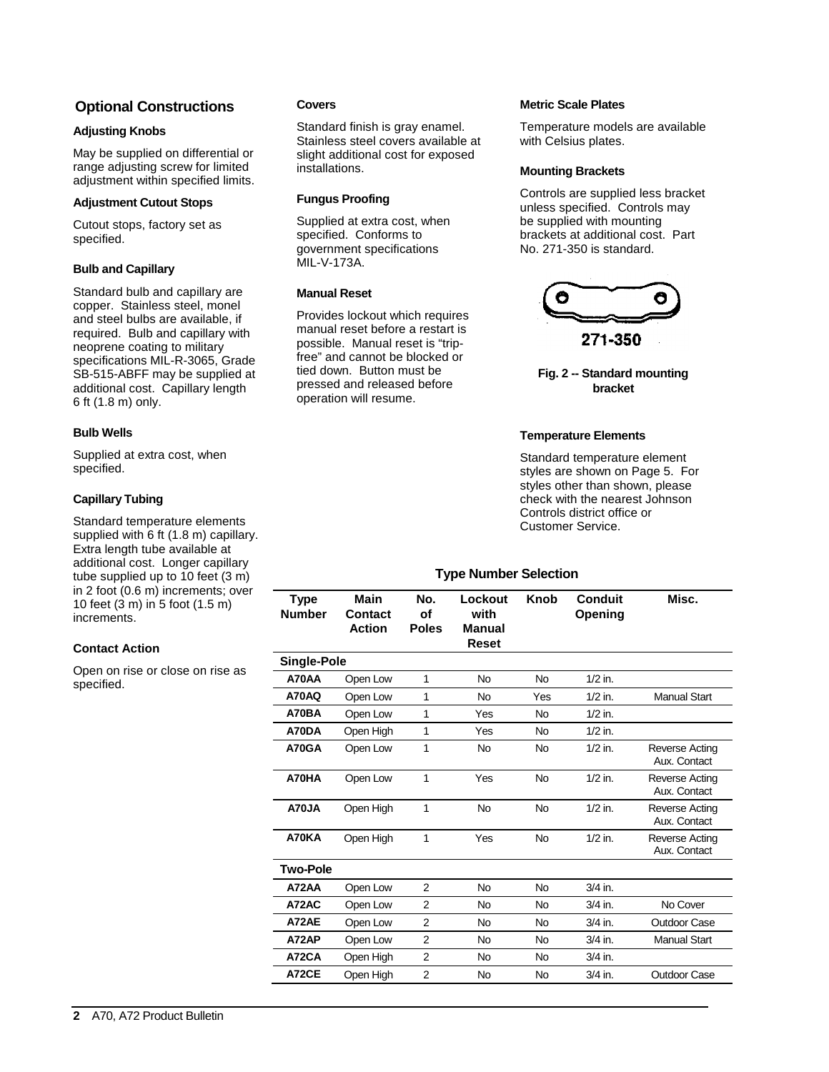## **Optional Construction[s](#page-7-0)**

#### **Adjusting Knobs**

May be supplied on differential or range adjusting screw for limited adjustment within specified limits.

#### **Adjustment Cutout Stops**

Cutout stops, factory set as specified.

#### **Bulb and Capillary**

Standard bulb and capillary are copper. Stainless steel, monel and steel bulbs are available, if required. Bulb and capillary with neoprene coating to military specifications MIL-R-3065, Grade SB-515-ABFF may be supplied at additional cost. Capillary length 6 ft (1.8 m) only.

#### **Bulb Wells**

Supplied at extra cost, when specified.

#### **Capillary Tubing**

Standard temperature elements supplied with 6 ft (1.8 m) capillary. Extra length tube available at additional cost. Longer capillary tube supplied up to 10 feet (3 m) in 2 foot (0.6 m) increments; over 10 feet (3 m) in 5 foot (1.5 m) increments.

#### **Contact Action**

Open on rise or close on rise as specified.

#### **Covers**

Standard finish is gray enamel. Stainless steel covers available at slight additional cost for exposed installations.

#### **Fungus Proofing**

Supplied at extra cost, when specified. Conforms to government specifications MIL-V-173A.

#### **Manual Reset**

Provides lockout which requires manual reset before a restart is possible. Manual reset is "tripfree" and cannot be blocked or tied down. Button must be pressed and released before operation will resume.

#### **Metric Scale Plates**

Temperature models are available with Celsius plates.

#### **Mounting Brackets**

Controls are supplied less bracket unless specified. Controls may be supplied with mounting brackets at additional cost. Part No. 271-350 is standard.



**Fig. 2 -- Standard mounting bracket**

#### **Temperature Elements**

Standard temperature element styles are shown on Page 5. For styles other than shown, please check with the nearest Johnson Controls district office or Customer Service.

#### **Type Number Selection**

| <b>Manual Start</b>                   |
|---------------------------------------|
|                                       |
|                                       |
| <b>Reverse Acting</b><br>Aux. Contact |
| <b>Reverse Acting</b><br>Aux. Contact |
| Reverse Acting<br>Aux. Contact        |
| Reverse Acting<br>Aux. Contact        |
|                                       |
|                                       |
| No Cover                              |
| Outdoor Case                          |
| Manual Start                          |
|                                       |
| Outdoor Case                          |
|                                       |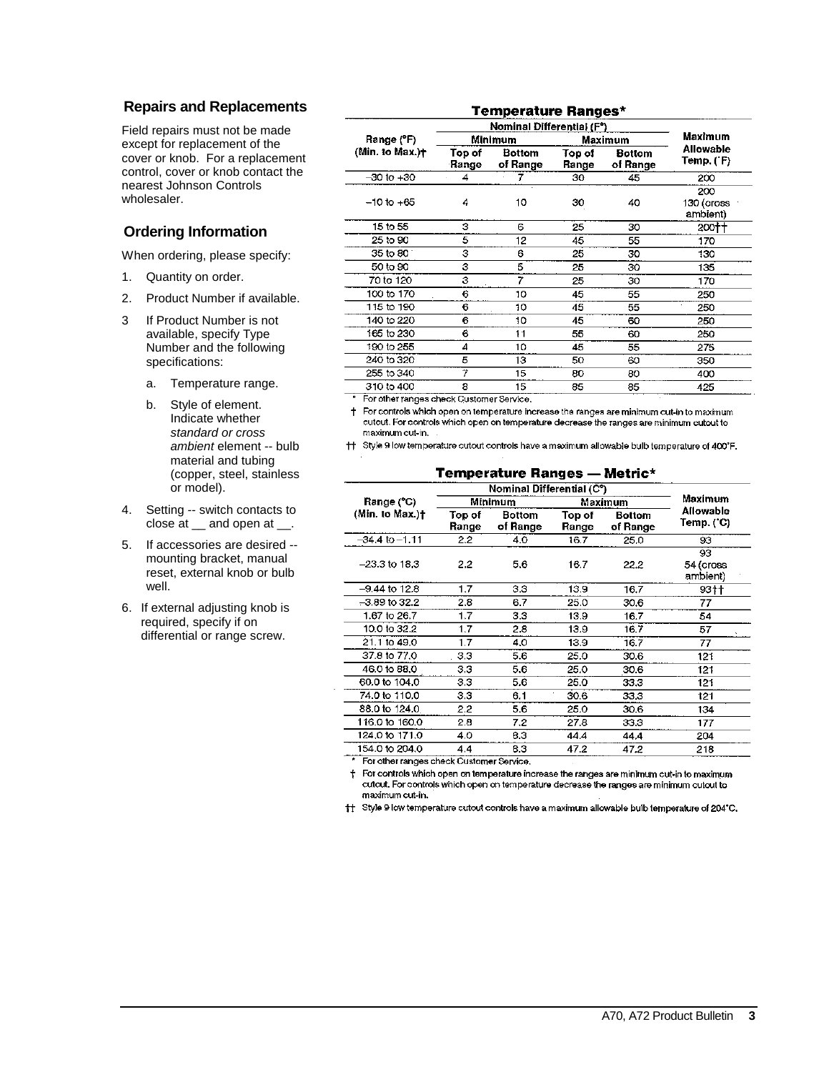### **Repairs and Replacements**

Field repairs must not be made except for replacement of the cover or knob. For a replacement control, cover or knob contact the nearest Johnson Controls wholesaler.

## **Ordering Informatio[n](#page-7-0)**

When ordering, please specify:

- 1. Quantity on order.
- 2. Product Number if available.
- 3 If Product Number is not available, specify Type Number and the following specifications:
	- a. Temperature range.
	- b. Style of element. Indicate whether *standard or cross ambient* element -- bulb material and tubing (copper, steel, stainless or model).
- 4. Setting -- switch contacts to close at \_\_ and open at \_\_.
- 5. If accessories are desired mounting bracket, manual reset, external knob or bulb well.
- 6. If external adjusting knob is required, specify if on differential or range screw.

|                          |                           | Temperature Ranges*       |                 |                           |                               |
|--------------------------|---------------------------|---------------------------|-----------------|---------------------------|-------------------------------|
|                          | Nominal Differential (F°) |                           |                 |                           |                               |
| Range (°F)               |                           | Minimum                   |                 | <b>Maximum</b>            | <b>Maximum</b>                |
| (Min. to Max.) $\dagger$ | Top of<br>Range           | <b>Bottom</b><br>of Range | Top of<br>Range | <b>Bottom</b><br>of Range | Allowable<br>Temp. (°F)       |
| $-30$ to $+30$           | 4                         |                           | 30              | 45                        | 200                           |
| $-10$ to $+65$           | 4                         | 10                        | 30              | 40                        | 200<br>130 (cross<br>ambient) |
| 15 to 55                 | з                         | 6                         | 25              | 30                        | 200††                         |
| 25 to 90                 | 5                         | 12                        | 45              | 55                        | 170                           |
| 35 to 80                 | З                         | 6                         | 25              | 30                        | 130                           |
| 50 to 90                 | 3                         | 5                         | 25              | 30                        | 135                           |
| 70 to 120                | З                         | 7                         | 25              | 30                        | 170                           |
| 100 to 170               | 6                         | 10                        | 45              | 55                        | 250                           |
| 115 to 190               | 6                         | 10                        | 45              | 55                        | 250                           |
| 140 to 220               | 6                         | 10                        | 45              | 60                        | 250                           |
| 165 to 230               | 6                         | 11                        | 55              | 60                        | 250                           |
| 190 to 255               | 4                         | 10                        | 45              | 55                        | 275                           |
| 240 to 320               | 5                         | 13                        | 50              | 60                        | 350                           |
| 255 to 340               | 7                         | 15                        | 80              | 80                        | 400                           |
| 310 to 400               | 8                         | 15                        | 85              | 85                        | 425                           |

\* For other ranges check Customer Service.

+ For controls which open on temperature increase the ranges are minimum cut-in to maximum cutout. For controls which open on temperature decrease the ranges are minimum cutout to maximum cut-in.

†† Style 9 low temperature cutout controls have a maximum allowable bulb temperature of 400°F.

#### **Temperature Ranges - Metric\***

|                    | Nominal Differential (C°) |                           |                 |                           |                             |
|--------------------|---------------------------|---------------------------|-----------------|---------------------------|-----------------------------|
| Range (°C)         |                           | Minimum                   |                 | Maximum                   | Maximum                     |
| (Min. to Max.)+    | Top of<br>Range           | <b>Bottom</b><br>of Range | Top of<br>Range | <b>Bottom</b><br>of Range | Allowable<br>Temp. (°C)     |
| $-34.4$ to $-1.11$ | 2.2                       | 4.0                       | 16.7            | 25.0                      | 93                          |
| $-23.3$ to 18.3    | 2.2                       | 5.6                       | 16.7            | 22.2                      | 93<br>54 (cross<br>ambient) |
| $-9.44$ to 12.8    | 1.7                       | 3.3                       | 13.9            | 16.7                      | $93+$                       |
| $-3.89$ to 32.2    | 2.8                       | 6.7                       | 25.0            | 30.6                      | 77                          |
| 1.67 to 26.7       | 1.7                       | 3.3                       | 13.9            | 16.7                      | 54                          |
| 10.0 to 32.2       | 1,7                       | 2.8                       | 13.9            | 16.7                      | 57                          |
| 21.1 to 49.0       | 1.7                       | 4.0                       | 13.9            | 16.7                      | 77                          |
| 37.8 to 77.0       | 3.3                       | 5.6                       | 25.0            | 30.6                      | 121                         |
| 46.0 to 88.0       | 3.3                       | 5.6                       | 25.0            | 30.6                      | 121                         |
| 60.0 to 104.0      | 3.3                       | 5.6                       | 25.0            | 33.3                      | 121                         |
| 74.0 to 110.0      | 3.3                       | 6.1                       | 30.6            | 33.3                      | 121                         |
| 88.0 to 124.0      | 2.2                       | 5.6                       | 25.0            | 30.6                      | 134                         |
| 116.0 to 160.0     | 2.8                       | 7.2                       | 27.8            | 33.3                      | 177                         |
| 124.0 to 171.0     | 4.0                       | 8.3                       | 44.4            | 44.4                      | 204                         |
| 154.0 to 204.0     | 4.4                       | 8.3                       | 47.2            | 47.2                      | 218                         |

\* For other ranges check Customer Service.

 $\dagger$  For controls which open on temperature increase the ranges are minimum cut-in to maximum cutout. For controls which open on temperature decrease the ranges are minimum cutout to maximum cut-in.

† Style 9 low temperature cutout controls have a maximum allowable buib temperature of 204°C.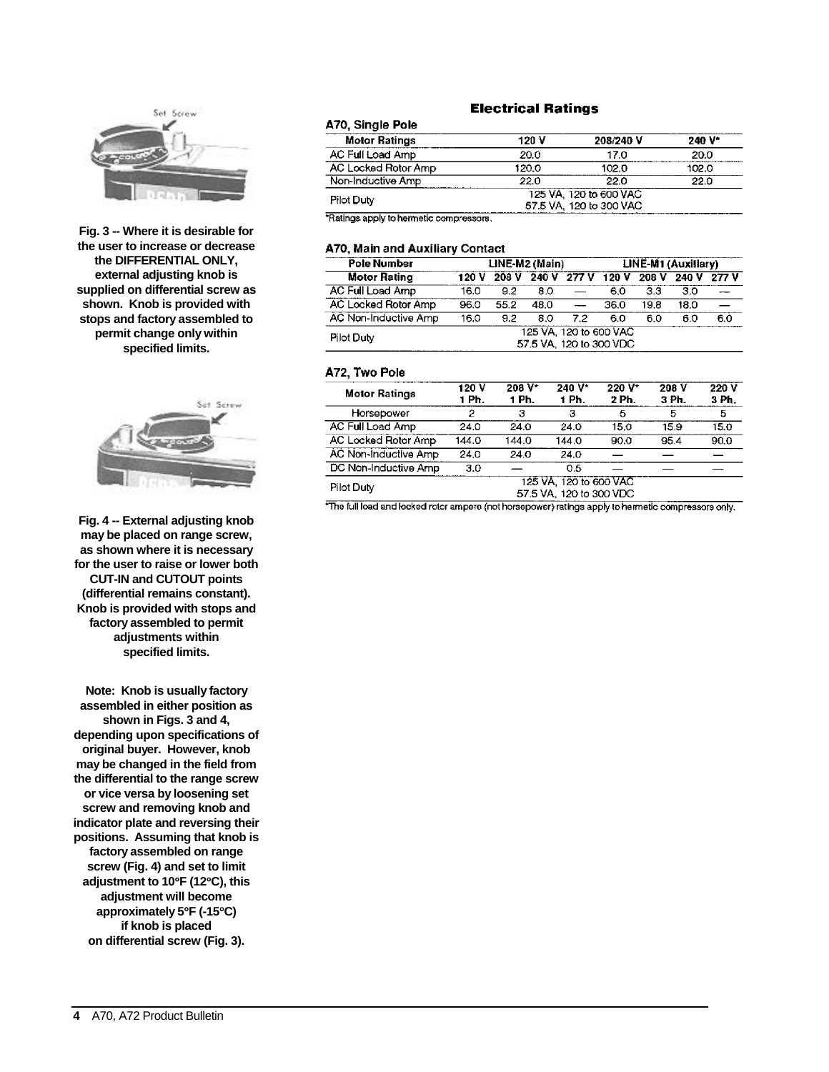

**Fig. 3 -- Where it is desirable for the user to increase or decrease the DIFFERENTIAL ONLY, external adjusting knob is supplied on differential screw as shown. Knob is provided with stops and factory assembled to permit change only within specified limits.**



**Fig. 4 -- External adjusting knob may be placed on range screw, as shown where it is necessary for the user to raise or lower both CUT-IN and CUTOUT points (differential remains constant). Knob is provided with stops and factory assembled to permit adjustments within specified limits.**

**Note: Knob is usually factory assembled in either position as shown in Figs. 3 and 4, depending upon specifications of original buyer. However, knob may be changed in the field from the differential to the range screw or vice versa by loosening set screw and removing knob and indicator plate and reversing their positions. Assuming that knob is factory assembled on range screw (Fig. 4) and set to limit adjustment to 10**°**F (12**°**C), this adjustment will become approximately 5**°**F (-15**°**C) if knob is placed on differential screw (Fig. 3).**

#### **Electrical Ratings**

| A70, Single Pole                        |       |                        |        |
|-----------------------------------------|-------|------------------------|--------|
| <b>Motor Ratings</b>                    | 120 V | 208/240 V              | 240 V* |
| AC Full Load Amp                        | 20.0  | 17.0                   | 20.0   |
| AC Locked Rotor Amp                     | 120.0 | 102.0                  | 102.0  |
| Non-Inductive Amp                       | 22.0  | 22.0                   | 22.0   |
| Pilot Duty                              |       | 125 VA 120 to 600 VAC  |        |
|                                         |       | 57.5 VA 120 to 300 VAC |        |
| *Ratings apply to hermetic compressors. |       |                        |        |

#### **A70, Main and Auxiliary Contact**

| <b>Pole Number</b>   |                                                   |       | LINE-M2 (Main) |                          | LINE-M1 (Auxiliary) |      |      |             |  |
|----------------------|---------------------------------------------------|-------|----------------|--------------------------|---------------------|------|------|-------------|--|
| <b>Motor Rating</b>  | 120 V                                             | 208 V | 240 V          | 277V                     | 120V                | 208V |      | 240 V 277 V |  |
| AC Full Load Amp     | 16.0                                              | 9.2   | 8.0            |                          | 60                  | 33   | 3.0  |             |  |
| AC Locked Rotor Amp  | 96.0                                              | 55.2  | 48.0           | $\overline{\phantom{a}}$ | 36.0                | 19.8 | 18.0 |             |  |
| AC Non-Inductive Amp | 16.0                                              | 9.2   | 8.0            | 7.2                      | 60                  | 60   | 60   | 6.0         |  |
| Pilot Duty           | 125 VA. 120 to 600 VAC<br>57.5 VA, 120 to 300 VDC |       |                |                          |                     |      |      |             |  |

#### A72, Two Pole

| <b>Motor Ratings</b> | 120 V<br>1 Ph.                                   | $208 V^*$<br>1 Ph. | $240V^*$<br>1 Ph. | $220V^*$<br>2 Ph. | 208 V<br>3 Ph. | 220V<br>3 Ph. |  |  |
|----------------------|--------------------------------------------------|--------------------|-------------------|-------------------|----------------|---------------|--|--|
| Horsepower           | 2                                                | 3                  | з                 | 5                 | 5              | 5             |  |  |
| AC Full Load Amp     | 24.0                                             | 24.0               | 24.0              | 15.0              | 15.9           | 15.0          |  |  |
| AC Locked Rotor Amp  | 144.0                                            | 144.0              | 144.0             | 90.0              | 95.4           | 90.0          |  |  |
| AC Non-Inductive Amp | 24.0                                             | 24.0               | 24.0              |                   |                |               |  |  |
| DC Non-Inductive Amp | 3.0                                              |                    | 0.5               |                   |                |               |  |  |
| Pilot Duty           | 125 VA, 120 to 600 VAC<br>57.5 VA 120 to 300 VDC |                    |                   |                   |                |               |  |  |

\*The full load and locked rotor ampere (not horsepower) ratings apply to hermetic compressors only.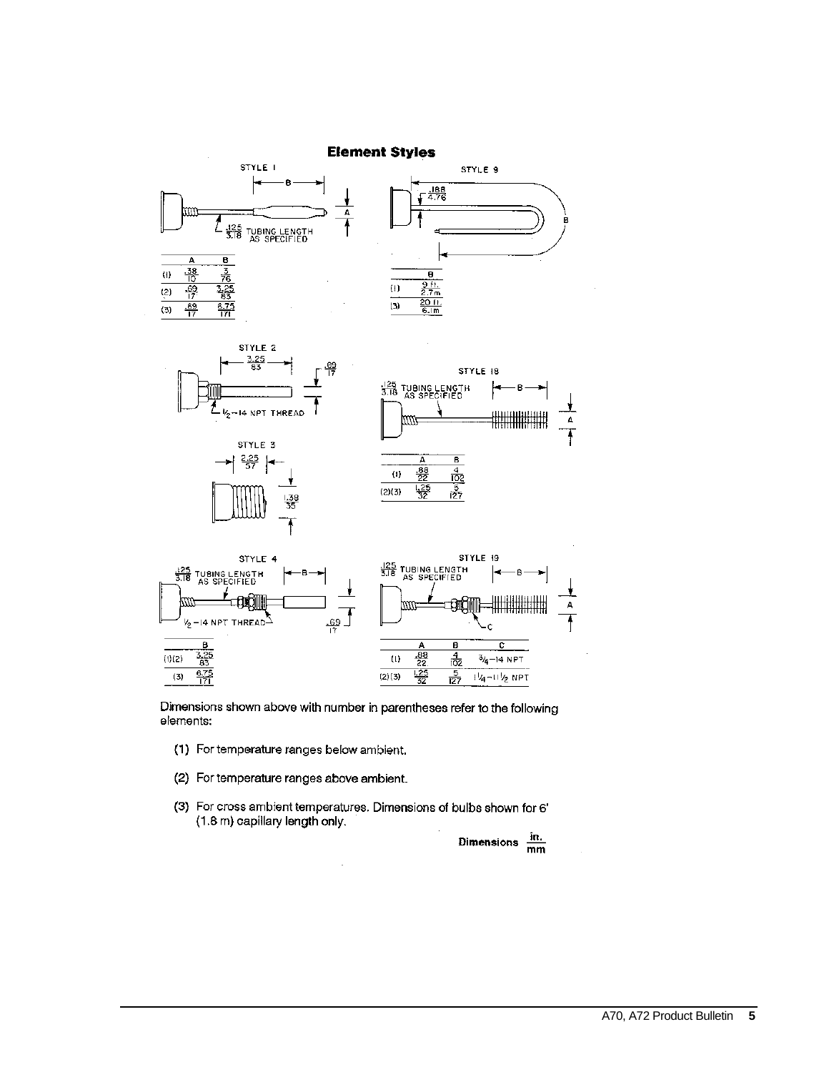

Dimensions shown above with number in parentheses refer to the following elements:

- (1) For temperature ranges below ambient.
- (2) For temperature ranges above ambient.
- (3) For cross ambient temperatures. Dimensions of bulbs shown for 6' (1.8 m) capillary length only.

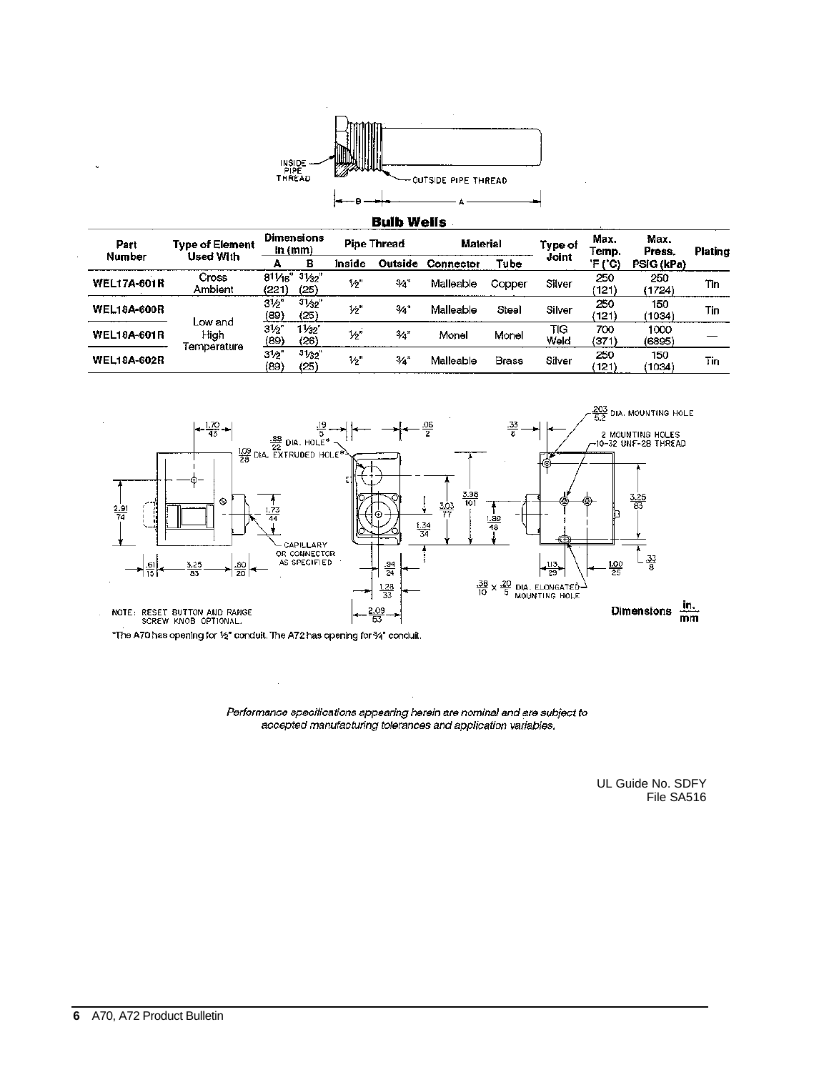

|                    |                        |                                         |                         |                    | DUID WEIIS |                 |              |             |               |                |         |
|--------------------|------------------------|-----------------------------------------|-------------------------|--------------------|------------|-----------------|--------------|-------------|---------------|----------------|---------|
| Part               | <b>Type of Element</b> | <b>Dimensions</b><br>in $(mm)$          |                         | <b>Pipe Thread</b> |            | <b>Material</b> |              | Type of     | Max.<br>Temp. | Max.<br>Press. | Plating |
| Number             | Used With              | А                                       | в                       | Inside             | Outside    | Connector       | Tube         | Joint       | 'F ('C)       | PSIG (kPa)     |         |
| <b>WEL17A-601R</b> | Cross<br>Ambient       | $81\frac{1}{8}$ $3\frac{1}{3}$<br>(221) | (25)                    | $V_2$              | -34"       | Malleable       | Copper       | Silver      | 250<br>(121)  | 250<br>(1724)  | Tin     |
| <b>WEL18A-600R</b> | Low and                | $3\frac{1}{2}$<br>(89)                  | 31/32"<br>(25)          | 1⁄2"               | 3/4"       | Malleable       | Steel        | Silver      | 250<br>(121)  | 150<br>(1034)  | Tin     |
| <b>WEL18A-601R</b> | High                   | $3_{2}^{\prime}$<br>(89)                | $1\frac{1}{32}$<br>(26) | りっ                 | 34"        | Monel           | Monel        | TIG<br>Weld | 700<br>(371)  | 1000<br>(6895) |         |
| <b>WEL18A-602R</b> | Temperature            | $3\frac{1}{2}$<br>(89)                  | 31/32"<br>(25)          | $V_2$ "            | 3⁄4"       | Malleable       | <b>Brass</b> | Silver      | 250<br>(121)  | 150<br>(1034)  | Tin     |



Performance specifications appearing herein are nominal and are subject to<br>accepted manufacturing tolerances and application variables.

UL Guide No. SDFY File SA516

 $\ddot{\phantom{0}}$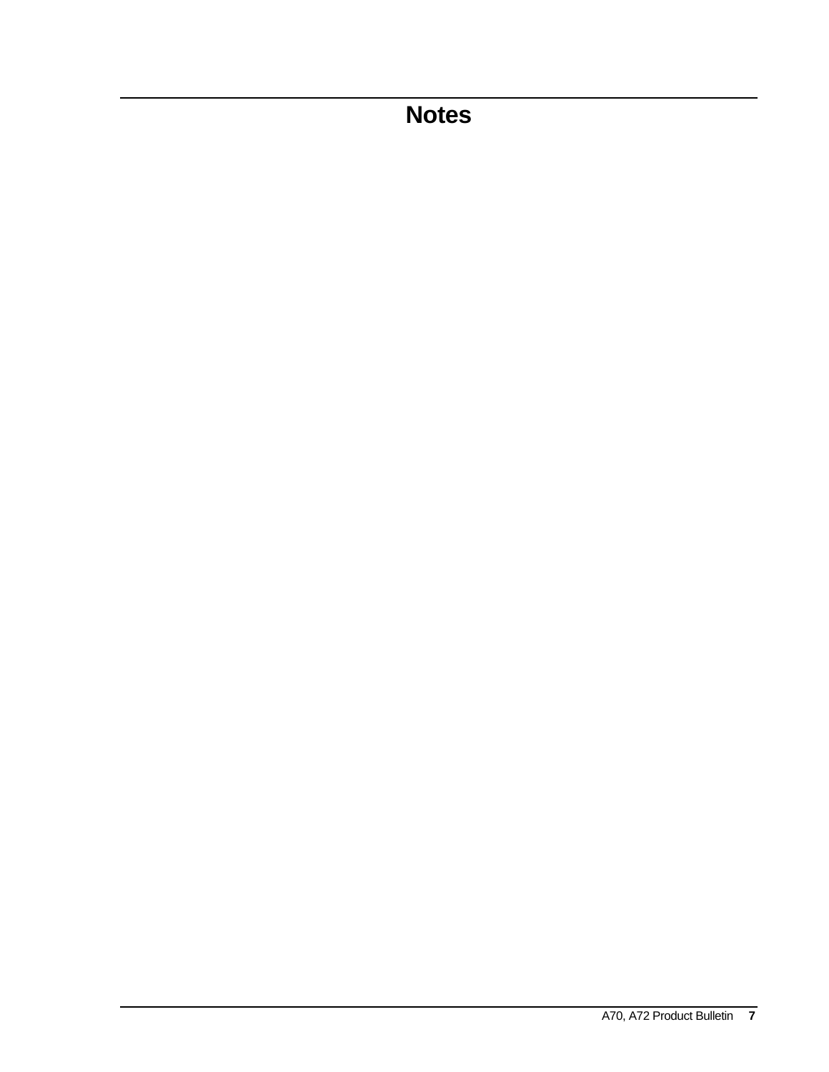# **Notes**